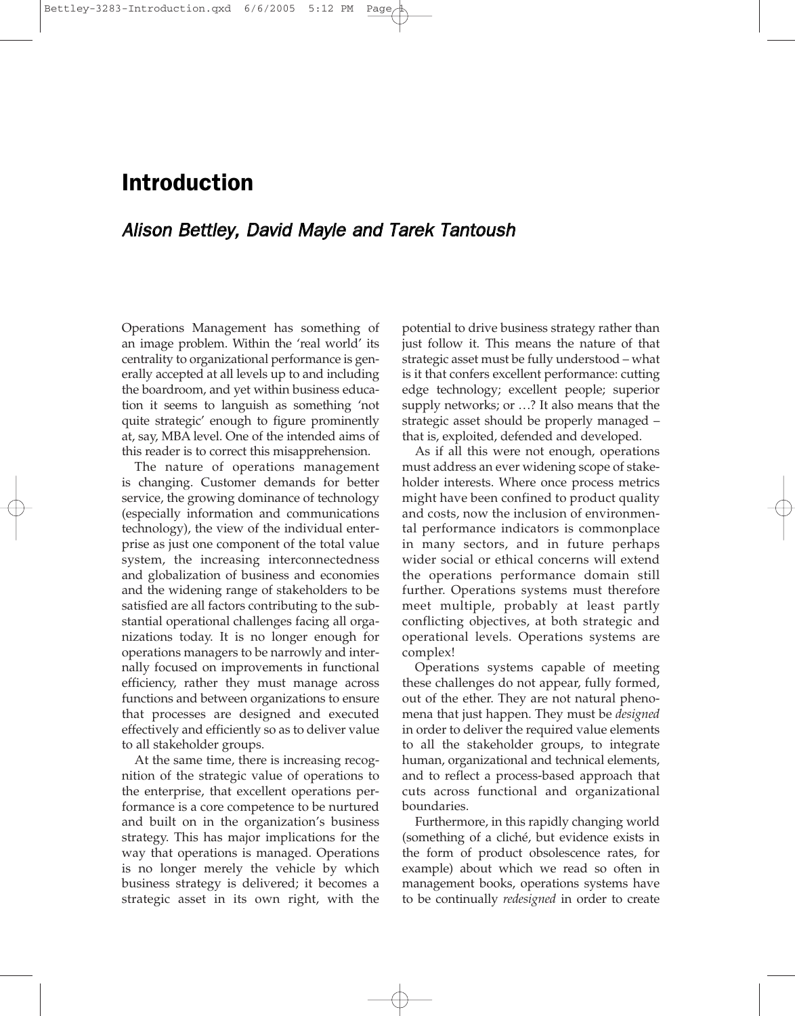## Introduction

## Alison Bettley, David Mayle and Tarek Tantoush

Operations Management has something of an image problem. Within the 'real world' its centrality to organizational performance is generally accepted at all levels up to and including the boardroom, and yet within business education it seems to languish as something 'not quite strategic' enough to figure prominently at, say, MBA level. One of the intended aims of this reader is to correct this misapprehension.

The nature of operations management is changing. Customer demands for better service, the growing dominance of technology (especially information and communications technology), the view of the individual enterprise as just one component of the total value system, the increasing interconnectedness and globalization of business and economies and the widening range of stakeholders to be satisfied are all factors contributing to the substantial operational challenges facing all organizations today. It is no longer enough for operations managers to be narrowly and internally focused on improvements in functional efficiency, rather they must manage across functions and between organizations to ensure that processes are designed and executed effectively and efficiently so as to deliver value to all stakeholder groups.

At the same time, there is increasing recognition of the strategic value of operations to the enterprise, that excellent operations performance is a core competence to be nurtured and built on in the organization's business strategy. This has major implications for the way that operations is managed. Operations is no longer merely the vehicle by which business strategy is delivered; it becomes a strategic asset in its own right, with the potential to drive business strategy rather than just follow it. This means the nature of that strategic asset must be fully understood – what is it that confers excellent performance: cutting edge technology; excellent people; superior supply networks; or ...? It also means that the strategic asset should be properly managed – that is, exploited, defended and developed.

As if all this were not enough, operations must address an ever widening scope of stakeholder interests. Where once process metrics might have been confined to product quality and costs, now the inclusion of environmental performance indicators is commonplace in many sectors, and in future perhaps wider social or ethical concerns will extend the operations performance domain still further. Operations systems must therefore meet multiple, probably at least partly conflicting objectives, at both strategic and operational levels. Operations systems are complex!

Operations systems capable of meeting these challenges do not appear, fully formed, out of the ether. They are not natural phenomena that just happen. They must be *designed* in order to deliver the required value elements to all the stakeholder groups, to integrate human, organizational and technical elements, and to reflect a process-based approach that cuts across functional and organizational boundaries.

Furthermore, in this rapidly changing world (something of a cliché, but evidence exists in the form of product obsolescence rates, for example) about which we read so often in management books, operations systems have to be continually *redesigned* in order to create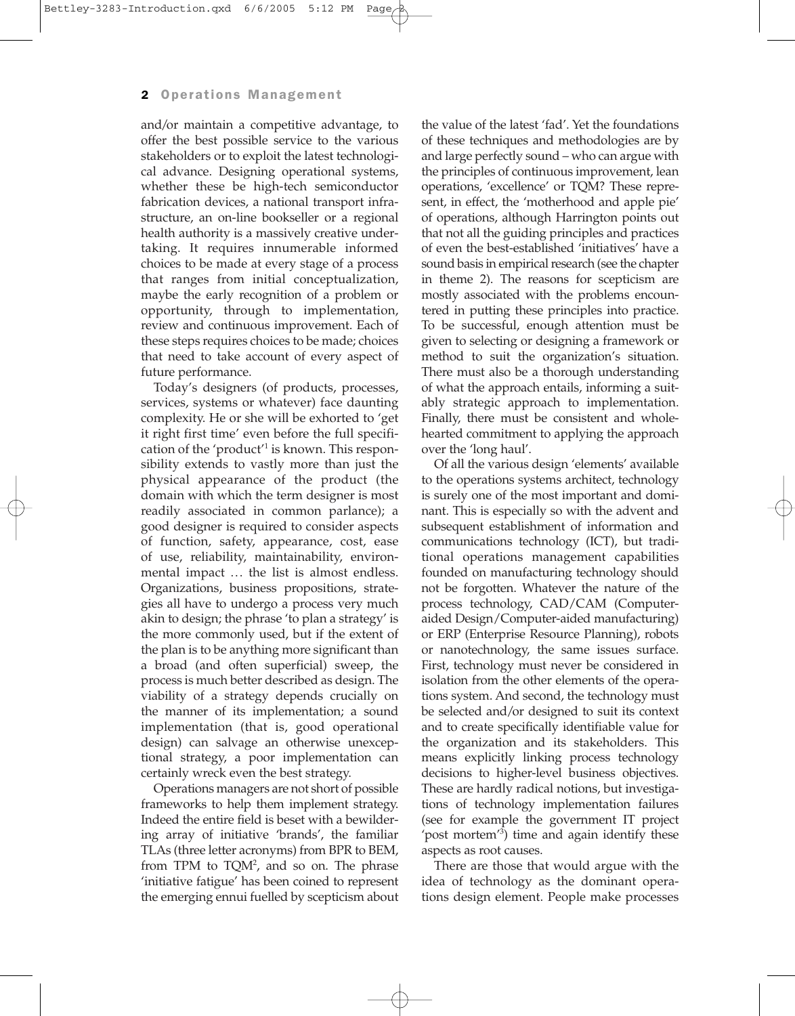## 2 Operations Management

and/or maintain a competitive advantage, to offer the best possible service to the various stakeholders or to exploit the latest technological advance. Designing operational systems, whether these be high-tech semiconductor fabrication devices, a national transport infrastructure, an on-line bookseller or a regional health authority is a massively creative undertaking. It requires innumerable informed choices to be made at every stage of a process that ranges from initial conceptualization, maybe the early recognition of a problem or opportunity, through to implementation, review and continuous improvement. Each of these steps requires choices to be made; choices that need to take account of every aspect of future performance.

Today's designers (of products, processes, services, systems or whatever) face daunting complexity. He or she will be exhorted to 'get it right first time' even before the full specification of the 'product'<sup>1</sup> is known. This responsibility extends to vastly more than just the physical appearance of the product (the domain with which the term designer is most readily associated in common parlance); a good designer is required to consider aspects of function, safety, appearance, cost, ease of use, reliability, maintainability, environmental impact ... the list is almost endless. Organizations, business propositions, strategies all have to undergo a process very much akin to design; the phrase 'to plan a strategy' is the more commonly used, but if the extent of the plan is to be anything more significant than a broad (and often superficial) sweep, the process is much better described as design. The viability of a strategy depends crucially on the manner of its implementation; a sound implementation (that is, good operational design) can salvage an otherwise unexceptional strategy, a poor implementation can certainly wreck even the best strategy.

Operations managers are not short of possible frameworks to help them implement strategy. Indeed the entire field is beset with a bewildering array of initiative 'brands', the familiar TLAs (three letter acronyms) from BPR to BEM, from TPM to TQM<sup>2</sup>, and so on. The phrase 'initiative fatigue' has been coined to represent the emerging ennui fuelled by scepticism about the value of the latest 'fad'. Yet the foundations of these techniques and methodologies are by and large perfectly sound – who can argue with the principles of continuous improvement, lean operations, 'excellence' or TQM? These represent, in effect, the 'motherhood and apple pie' of operations, although Harrington points out that not all the guiding principles and practices of even the best-established 'initiatives' have a sound basis in empirical research (see the chapter in theme 2). The reasons for scepticism are mostly associated with the problems encountered in putting these principles into practice. To be successful, enough attention must be given to selecting or designing a framework or method to suit the organization's situation. There must also be a thorough understanding of what the approach entails, informing a suitably strategic approach to implementation. Finally, there must be consistent and wholehearted commitment to applying the approach over the 'long haul'.

Of all the various design 'elements' available to the operations systems architect, technology is surely one of the most important and dominant. This is especially so with the advent and subsequent establishment of information and communications technology (ICT), but traditional operations management capabilities founded on manufacturing technology should not be forgotten. Whatever the nature of the process technology, CAD/CAM (Computeraided Design/Computer-aided manufacturing) or ERP (Enterprise Resource Planning), robots or nanotechnology, the same issues surface. First, technology must never be considered in isolation from the other elements of the operations system. And second, the technology must be selected and/or designed to suit its context and to create specifically identifiable value for the organization and its stakeholders. This means explicitly linking process technology decisions to higher-level business objectives. These are hardly radical notions, but investigations of technology implementation failures (see for example the government IT project 'post mortem'3 ) time and again identify these aspects as root causes.

There are those that would argue with the idea of technology as the dominant operations design element. People make processes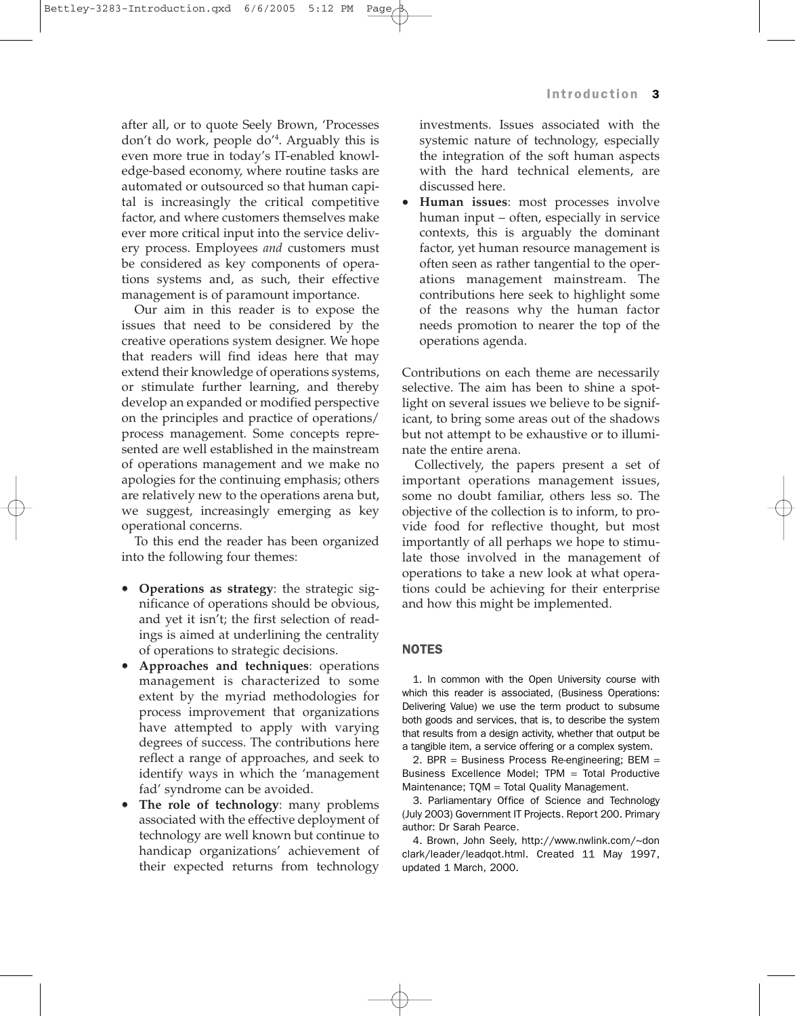after all, or to quote Seely Brown, 'Processes don't do work, people do'4 . Arguably this is even more true in today's IT-enabled knowledge-based economy, where routine tasks are automated or outsourced so that human capital is increasingly the critical competitive factor, and where customers themselves make ever more critical input into the service delivery process. Employees *and* customers must be considered as key components of operations systems and, as such, their effective management is of paramount importance.

Our aim in this reader is to expose the issues that need to be considered by the creative operations system designer. We hope that readers will find ideas here that may extend their knowledge of operations systems, or stimulate further learning, and thereby develop an expanded or modified perspective on the principles and practice of operations/ process management. Some concepts represented are well established in the mainstream of operations management and we make no apologies for the continuing emphasis; others are relatively new to the operations arena but, we suggest, increasingly emerging as key operational concerns.

To this end the reader has been organized into the following four themes:

- **Operations as strategy**: the strategic significance of operations should be obvious, and yet it isn't; the first selection of readings is aimed at underlining the centrality of operations to strategic decisions.
- **Approaches and techniques**: operations management is characterized to some extent by the myriad methodologies for process improvement that organizations have attempted to apply with varying degrees of success. The contributions here reflect a range of approaches, and seek to identify ways in which the 'management fad' syndrome can be avoided.
- The role of technology: many problems associated with the effective deployment of technology are well known but continue to handicap organizations' achievement of their expected returns from technology

investments. Issues associated with the systemic nature of technology, especially the integration of the soft human aspects with the hard technical elements, are discussed here.

• **Human issues**: most processes involve human input – often, especially in service contexts, this is arguably the dominant factor, yet human resource management is often seen as rather tangential to the operations management mainstream. The contributions here seek to highlight some of the reasons why the human factor needs promotion to nearer the top of the operations agenda.

Contributions on each theme are necessarily selective. The aim has been to shine a spotlight on several issues we believe to be significant, to bring some areas out of the shadows but not attempt to be exhaustive or to illuminate the entire arena.

Collectively, the papers present a set of important operations management issues, some no doubt familiar, others less so. The objective of the collection is to inform, to provide food for reflective thought, but most importantly of all perhaps we hope to stimulate those involved in the management of operations to take a new look at what operations could be achieving for their enterprise and how this might be implemented.

## NOTES

1. In common with the Open University course with which this reader is associated, (Business Operations: Delivering Value) we use the term product to subsume both goods and services, that is, to describe the system that results from a design activity, whether that output be a tangible item, a service offering or a complex system.

2. BPR = Business Process Re-engineering; BEM = Business Excellence Model; TPM = Total Productive Maintenance; TQM = Total Quality Management.

3. Parliamentary Office of Science and Technology (July 2003) Government IT Projects. Report 200. Primary author: Dr Sarah Pearce.

4. Brown, John Seely, http://www.nwlink.com/~don clark/leader/leadqot.html. Created 11 May 1997, updated 1 March, 2000.